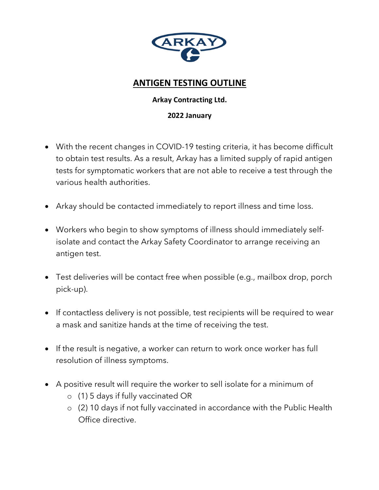

#### **ANTIGEN TESTING OUTLINE**

#### **Arkay Contracting Ltd.**

#### **2022 January**

- With the recent changes in COVID-19 testing criteria, it has become difficult to obtain test results. As a result, Arkay has a limited supply of rapid antigen tests for symptomatic workers that are not able to receive a test through the various health authorities.
- Arkay should be contacted immediately to report illness and time loss.
- Workers who begin to show symptoms of illness should immediately selfisolate and contact the Arkay Safety Coordinator to arrange receiving an antigen test.
- Test deliveries will be contact free when possible (e.g., mailbox drop, porch pick-up).
- If contactless delivery is not possible, test recipients will be required to wear a mask and sanitize hands at the time of receiving the test.
- If the result is negative, a worker can return to work once worker has full resolution of illness symptoms.
- A positive result will require the worker to sell isolate for a minimum of
	- o (1) 5 days if fully vaccinated OR
	- o (2) 10 days if not fully vaccinated in accordance with the Public Health Office directive.